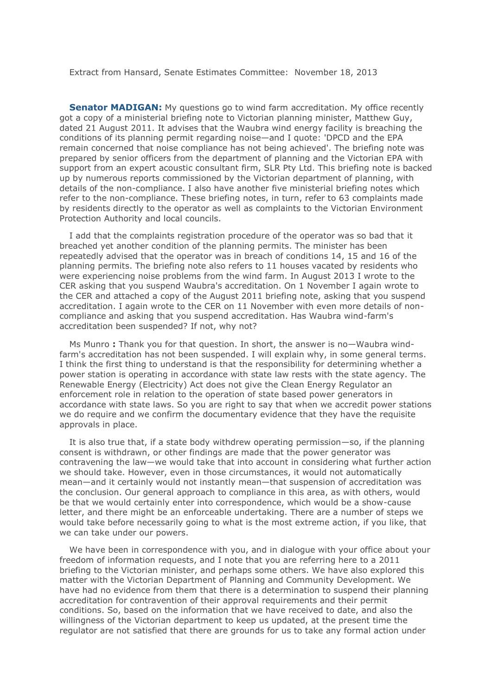Extract from Hansard, Senate Estimates Committee: November 18, 2013

**[Senator MADIGAN:](http://parlinfo.aph.gov.au/parlInfo/search/display/display.w3p;query=Id%3A%22handbook%2Fallmps%2F217571%22;querytype=;rec=0)** My questions go to wind farm accreditation. My office recently got a copy of a ministerial briefing note to Victorian planning minister, Matthew Guy, dated 21 August 2011. It advises that the Waubra wind energy facility is breaching the conditions of its planning permit regarding noise—and I quote: 'DPCD and the EPA remain concerned that noise compliance has not being achieved'. The briefing note was prepared by senior officers from the department of planning and the Victorian EPA with support from an expert acoustic consultant firm, SLR Pty Ltd. This briefing note is backed up by numerous reports commissioned by the Victorian department of planning, with details of the non-compliance. I also have another five ministerial briefing notes which refer to the non-compliance. These briefing notes, in turn, refer to 63 complaints made by residents directly to the operator as well as complaints to the Victorian Environment Protection Authority and local councils.

I add that the complaints registration procedure of the operator was so bad that it breached yet another condition of the planning permits. The minister has been repeatedly advised that the operator was in breach of conditions 14, 15 and 16 of the planning permits. The briefing note also refers to 11 houses vacated by residents who were experiencing noise problems from the wind farm. In August 2013 I wrote to the CER asking that you suspend Waubra's accreditation. On 1 November I again wrote to the CER and attached a copy of the August 2011 briefing note, asking that you suspend accreditation. I again wrote to the CER on 11 November with even more details of noncompliance and asking that you suspend accreditation. Has Waubra wind-farm's accreditation been suspended? If not, why not?

Ms Munro **:** Thank you for that question. In short, the answer is no—Waubra windfarm's accreditation has not been suspended. I will explain why, in some general terms. I think the first thing to understand is that the responsibility for determining whether a power station is operating in accordance with state law rests with the state agency. The Renewable Energy (Electricity) Act does not give the Clean Energy Regulator an enforcement role in relation to the operation of state based power generators in accordance with state laws. So you are right to say that when we accredit power stations we do require and we confirm the documentary evidence that they have the requisite approvals in place.

It is also true that, if a state body withdrew operating permission—so, if the planning consent is withdrawn, or other findings are made that the power generator was contravening the law—we would take that into account in considering what further action we should take. However, even in those circumstances, it would not automatically mean—and it certainly would not instantly mean—that suspension of accreditation was the conclusion. Our general approach to compliance in this area, as with others, would be that we would certainly enter into correspondence, which would be a show-cause letter, and there might be an enforceable undertaking. There are a number of steps we would take before necessarily going to what is the most extreme action, if you like, that we can take under our powers.

We have been in correspondence with you, and in dialogue with your office about your freedom of information requests, and I note that you are referring here to a 2011 briefing to the Victorian minister, and perhaps some others. We have also explored this matter with the Victorian Department of Planning and Community Development. We have had no evidence from them that there is a determination to suspend their planning accreditation for contravention of their approval requirements and their permit conditions. So, based on the information that we have received to date, and also the willingness of the Victorian department to keep us updated, at the present time the regulator are not satisfied that there are grounds for us to take any formal action under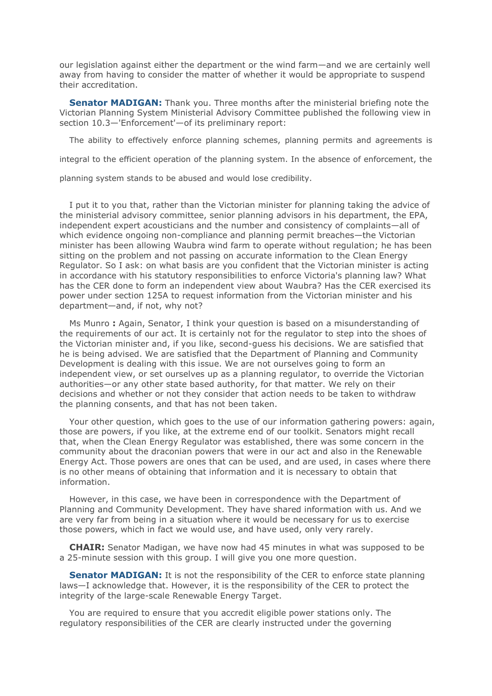our legislation against either the department or the wind farm—and we are certainly well away from having to consider the matter of whether it would be appropriate to suspend their accreditation.

**[Senator MADIGAN:](http://parlinfo.aph.gov.au/parlInfo/search/display/display.w3p;query=Id%3A%22handbook%2Fallmps%2F217571%22;querytype=;rec=0)** Thank you. Three months after the ministerial briefing note the Victorian Planning System Ministerial Advisory Committee published the following view in section 10.3—'Enforcement'—of its preliminary report:

The ability to effectively enforce planning schemes, planning permits and agreements is

integral to the efficient operation of the planning system. In the absence of enforcement, the

planning system stands to be abused and would lose credibility.

I put it to you that, rather than the Victorian minister for planning taking the advice of the ministerial advisory committee, senior planning advisors in his department, the EPA, independent expert acousticians and the number and consistency of complaints—all of which evidence ongoing non-compliance and planning permit breaches—the Victorian minister has been allowing Waubra wind farm to operate without regulation; he has been sitting on the problem and not passing on accurate information to the Clean Energy Regulator. So I ask: on what basis are you confident that the Victorian minister is acting in accordance with his statutory responsibilities to enforce Victoria's planning law? What has the CER done to form an independent view about Waubra? Has the CER exercised its power under section 125A to request information from the Victorian minister and his department—and, if not, why not?

Ms Munro **:** Again, Senator, I think your question is based on a misunderstanding of the requirements of our act. It is certainly not for the regulator to step into the shoes of the Victorian minister and, if you like, second-guess his decisions. We are satisfied that he is being advised. We are satisfied that the Department of Planning and Community Development is dealing with this issue. We are not ourselves going to form an independent view, or set ourselves up as a planning regulator, to override the Victorian authorities—or any other state based authority, for that matter. We rely on their decisions and whether or not they consider that action needs to be taken to withdraw the planning consents, and that has not been taken.

Your other question, which goes to the use of our information gathering powers: again, those are powers, if you like, at the extreme end of our toolkit. Senators might recall that, when the Clean Energy Regulator was established, there was some concern in the community about the draconian powers that were in our act and also in the Renewable Energy Act. Those powers are ones that can be used, and are used, in cases where there is no other means of obtaining that information and it is necessary to obtain that information.

However, in this case, we have been in correspondence with the Department of Planning and Community Development. They have shared information with us. And we are very far from being in a situation where it would be necessary for us to exercise those powers, which in fact we would use, and have used, only very rarely.

**CHAIR:** Senator Madigan, we have now had 45 minutes in what was supposed to be a 25-minute session with this group. I will give you one more question.

**[Senator MADIGAN:](http://parlinfo.aph.gov.au/parlInfo/search/display/display.w3p;query=Id%3A%22handbook%2Fallmps%2F217571%22;querytype=;rec=0)** It is not the responsibility of the CER to enforce state planning laws—I acknowledge that. However, it is the responsibility of the CER to protect the integrity of the large-scale Renewable Energy Target.

You are required to ensure that you accredit eligible power stations only. The regulatory responsibilities of the CER are clearly instructed under the governing